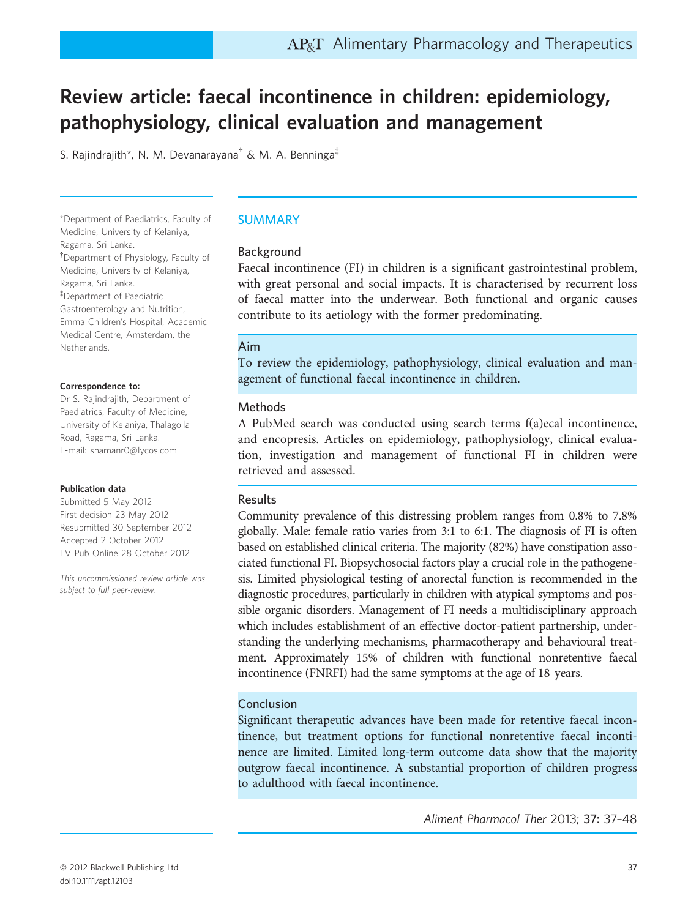# Review article: faecal incontinence in children: epidemiology, pathophysiology, clinical evaluation and management

S. Rajindrajith\*, N. M. Devanarayana† & M. A. Benninga‡

\*Department of Paediatrics, Faculty of Medicine, University of Kelaniya, Ragama, Sri Lanka. † Department of Physiology, Faculty of Medicine, University of Kelaniya, Ragama, Sri Lanka. ‡ Department of Paediatric Gastroenterology and Nutrition, Emma Children's Hospital, Academic Medical Centre, Amsterdam, the Netherlands.

#### Correspondence to:

Dr S. Rajindrajith, Department of Paediatrics, Faculty of Medicine, University of Kelaniya, Thalagolla Road, Ragama, Sri Lanka. E-mail: shamanr0@lycos.com

#### Publication data

Submitted 5 May 2012 First decision 23 May 2012 Resubmitted 30 September 2012 Accepted 2 October 2012 EV Pub Online 28 October 2012

This uncommissioned review article was subject to full peer-review.

### SUMMARY

### Background

Faecal incontinence (FI) in children is a significant gastrointestinal problem, with great personal and social impacts. It is characterised by recurrent loss of faecal matter into the underwear. Both functional and organic causes contribute to its aetiology with the former predominating.

### Aim

To review the epidemiology, pathophysiology, clinical evaluation and management of functional faecal incontinence in children.

### Methods

A PubMed search was conducted using search terms f(a)ecal incontinence, and encopresis. Articles on epidemiology, pathophysiology, clinical evaluation, investigation and management of functional FI in children were retrieved and assessed.

### Results

Community prevalence of this distressing problem ranges from 0.8% to 7.8% globally. Male: female ratio varies from 3:1 to 6:1. The diagnosis of FI is often based on established clinical criteria. The majority (82%) have constipation associated functional FI. Biopsychosocial factors play a crucial role in the pathogenesis. Limited physiological testing of anorectal function is recommended in the diagnostic procedures, particularly in children with atypical symptoms and possible organic disorders. Management of FI needs a multidisciplinary approach which includes establishment of an effective doctor-patient partnership, understanding the underlying mechanisms, pharmacotherapy and behavioural treatment. Approximately 15% of children with functional nonretentive faecal incontinence (FNRFI) had the same symptoms at the age of 18 years.

### Conclusion

Significant therapeutic advances have been made for retentive faecal incontinence, but treatment options for functional nonretentive faecal incontinence are limited. Limited long-term outcome data show that the majority outgrow faecal incontinence. A substantial proportion of children progress to adulthood with faecal incontinence.

Aliment Pharmacol Ther 2013; 37: 37–48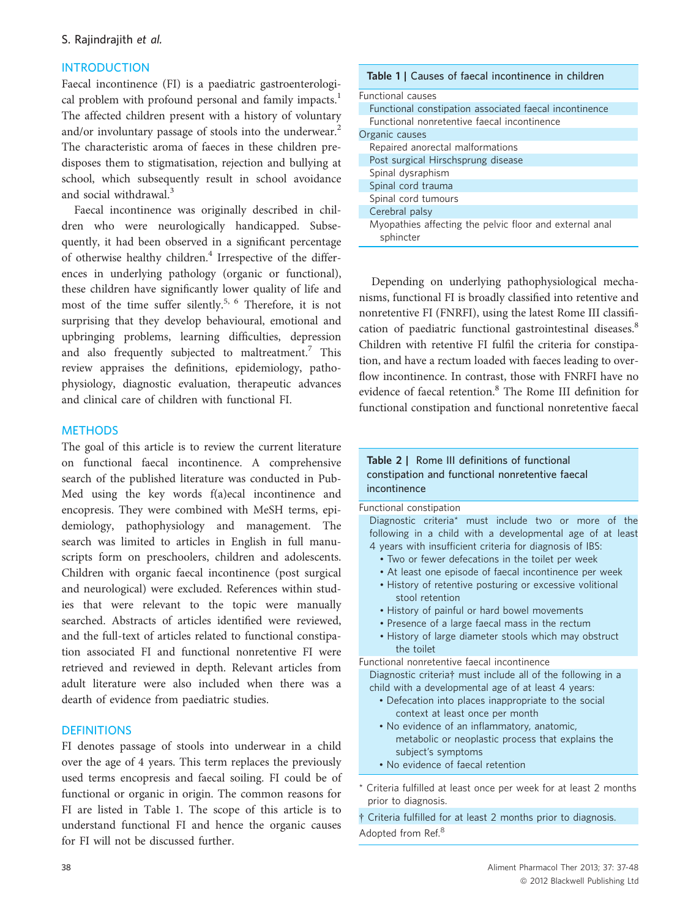# **INTRODUCTION**

Faecal incontinence (FI) is a paediatric gastroenterological problem with profound personal and family impacts.<sup>1</sup> The affected children present with a history of voluntary and/or involuntary passage of stools into the underwear.<sup>2</sup> The characteristic aroma of faeces in these children predisposes them to stigmatisation, rejection and bullying at school, which subsequently result in school avoidance and social withdrawal.<sup>3</sup>

Faecal incontinence was originally described in children who were neurologically handicapped. Subsequently, it had been observed in a significant percentage of otherwise healthy children.<sup>4</sup> Irrespective of the differences in underlying pathology (organic or functional), these children have significantly lower quality of life and most of the time suffer silently.<sup>5, 6</sup> Therefore, it is not surprising that they develop behavioural, emotional and upbringing problems, learning difficulties, depression and also frequently subjected to maltreatment.<sup>7</sup> This review appraises the definitions, epidemiology, pathophysiology, diagnostic evaluation, therapeutic advances and clinical care of children with functional FI.

### **METHODS**

The goal of this article is to review the current literature on functional faecal incontinence. A comprehensive search of the published literature was conducted in Pub-Med using the key words f(a)ecal incontinence and encopresis. They were combined with MeSH terms, epidemiology, pathophysiology and management. The search was limited to articles in English in full manuscripts form on preschoolers, children and adolescents. Children with organic faecal incontinence (post surgical and neurological) were excluded. References within studies that were relevant to the topic were manually searched. Abstracts of articles identified were reviewed, and the full-text of articles related to functional constipation associated FI and functional nonretentive FI were retrieved and reviewed in depth. Relevant articles from adult literature were also included when there was a dearth of evidence from paediatric studies.

### **DEFINITIONS**

FI denotes passage of stools into underwear in a child over the age of 4 years. This term replaces the previously used terms encopresis and faecal soiling. FI could be of functional or organic in origin. The common reasons for FI are listed in Table 1. The scope of this article is to understand functional FI and hence the organic causes for FI will not be discussed further.

| <b>Table 1</b> Causes of faecal incontinence in children             |  |  |  |  |
|----------------------------------------------------------------------|--|--|--|--|
| <b>Functional causes</b>                                             |  |  |  |  |
| Functional constipation associated faecal incontinence               |  |  |  |  |
| Eunctional nonretentive faecal incontinence                          |  |  |  |  |
| Organic causes                                                       |  |  |  |  |
| Repaired anorectal malformations                                     |  |  |  |  |
| Post surgical Hirschsprung disease                                   |  |  |  |  |
| Spinal dysraphism                                                    |  |  |  |  |
| Spinal cord trauma                                                   |  |  |  |  |
| Spinal cord tumours                                                  |  |  |  |  |
| Cerebral palsy                                                       |  |  |  |  |
| Myopathies affecting the pelvic floor and external anal<br>sphincter |  |  |  |  |

Depending on underlying pathophysiological mechanisms, functional FI is broadly classified into retentive and nonretentive FI (FNRFI), using the latest Rome III classification of paediatric functional gastrointestinal diseases.<sup>8</sup> Children with retentive FI fulfil the criteria for constipation, and have a rectum loaded with faeces leading to overflow incontinence. In contrast, those with FNRFI have no evidence of faecal retention.<sup>8</sup> The Rome III definition for functional constipation and functional nonretentive faecal

## Table 2 | Rome III definitions of functional constipation and functional nonretentive faecal incontinence

Functional constipation Diagnostic criteria\* must include two or more of the following in a child with a developmental age of at least 4 years with insufficient criteria for diagnosis of IBS:

- Two or fewer defecations in the toilet per week
- At least one episode of faecal incontinence per week
- History of retentive posturing or excessive volitional stool retention
- History of painful or hard bowel movements
- Presence of a large faecal mass in the rectum
- History of large diameter stools which may obstruct the toilet

Functional nonretentive faecal incontinence

Diagnostic criteria† must include all of the following in a child with a developmental age of at least 4 years:

- Defecation into places inappropriate to the social context at least once per month
- No evidence of an inflammatory, anatomic, metabolic or neoplastic process that explains the subject's symptoms
- No evidence of faecal retention
- Criteria fulfilled at least once per week for at least 2 months prior to diagnosis.

† Criteria fulfilled for at least 2 months prior to diagnosis. Adopted from Ref.<sup>8</sup>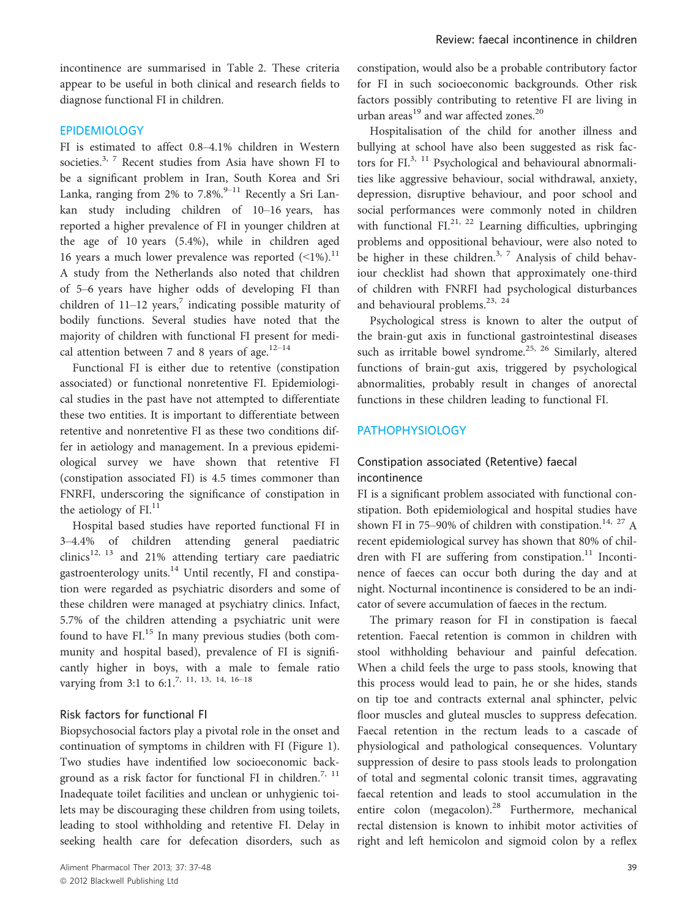incontinence are summarised in Table 2. These criteria appear to be useful in both clinical and research fields to diagnose functional FI in children.

## EPIDEMIOLOGY

FI is estimated to affect 0.8–4.1% children in Western societies.<sup>3, 7</sup> Recent studies from Asia have shown FI to be a significant problem in Iran, South Korea and Sri Lanka, ranging from 2% to 7.8%.<sup>9–11</sup> Recently a Sri Lankan study including children of 10–16 years, has reported a higher prevalence of FI in younger children at the age of 10 years (5.4%), while in children aged 16 years a much lower prevalence was reported  $($ 1%).<sup>11</sup> A study from the Netherlands also noted that children of 5–6 years have higher odds of developing FI than children of  $11-12$  years,<sup>7</sup> indicating possible maturity of bodily functions. Several studies have noted that the majority of children with functional FI present for medical attention between 7 and 8 years of age. $12-14$ 

Functional FI is either due to retentive (constipation associated) or functional nonretentive FI. Epidemiological studies in the past have not attempted to differentiate these two entities. It is important to differentiate between retentive and nonretentive FI as these two conditions differ in aetiology and management. In a previous epidemiological survey we have shown that retentive FI (constipation associated FI) is 4.5 times commoner than FNRFI, underscoring the significance of constipation in the aetiology of  $FI<sup>11</sup>$ 

Hospital based studies have reported functional FI in 3–4.4% of children attending general paediatric clinics<sup>12, 13</sup> and 21% attending tertiary care paediatric gastroenterology units.<sup>14</sup> Until recently, FI and constipation were regarded as psychiatric disorders and some of these children were managed at psychiatry clinics. Infact, 5.7% of the children attending a psychiatric unit were found to have  $FL^{15}$  In many previous studies (both community and hospital based), prevalence of FI is significantly higher in boys, with a male to female ratio varying from 3:1 to 6:1.<sup>7, 11, 13, 14, 16-18</sup>

### Risk factors for functional FI

Biopsychosocial factors play a pivotal role in the onset and continuation of symptoms in children with FI (Figure 1). Two studies have indentified low socioeconomic background as a risk factor for functional FI in children.<sup>7, 11</sup> Inadequate toilet facilities and unclean or unhygienic toilets may be discouraging these children from using toilets, leading to stool withholding and retentive FI. Delay in seeking health care for defecation disorders, such as

constipation, would also be a probable contributory factor for FI in such socioeconomic backgrounds. Other risk factors possibly contributing to retentive FI are living in urban areas<sup>19</sup> and war affected zones.<sup>20</sup>

Hospitalisation of the child for another illness and bullying at school have also been suggested as risk factors for FI.<sup>3, 11</sup> Psychological and behavioural abnormalities like aggressive behaviour, social withdrawal, anxiety, depression, disruptive behaviour, and poor school and social performances were commonly noted in children with functional  $FL^{21, 22}$  Learning difficulties, upbringing problems and oppositional behaviour, were also noted to be higher in these children.<sup>3, 7</sup> Analysis of child behaviour checklist had shown that approximately one-third of children with FNRFI had psychological disturbances and behavioural problems.<sup>23, 24</sup>

Psychological stress is known to alter the output of the brain-gut axis in functional gastrointestinal diseases such as irritable bowel syndrome.<sup>25, 26</sup> Similarly, altered functions of brain-gut axis, triggered by psychological abnormalities, probably result in changes of anorectal functions in these children leading to functional FI.

# PATHOPHYSIOLOGY

# Constipation associated (Retentive) faecal incontinence

FI is a significant problem associated with functional constipation. Both epidemiological and hospital studies have shown FI in 75–90% of children with constipation.<sup>14, 27</sup> A recent epidemiological survey has shown that 80% of children with FI are suffering from constipation.<sup>11</sup> Incontinence of faeces can occur both during the day and at night. Nocturnal incontinence is considered to be an indicator of severe accumulation of faeces in the rectum.

The primary reason for FI in constipation is faecal retention. Faecal retention is common in children with stool withholding behaviour and painful defecation. When a child feels the urge to pass stools, knowing that this process would lead to pain, he or she hides, stands on tip toe and contracts external anal sphincter, pelvic floor muscles and gluteal muscles to suppress defecation. Faecal retention in the rectum leads to a cascade of physiological and pathological consequences. Voluntary suppression of desire to pass stools leads to prolongation of total and segmental colonic transit times, aggravating faecal retention and leads to stool accumulation in the entire colon (megacolon).<sup>28</sup> Furthermore, mechanical rectal distension is known to inhibit motor activities of right and left hemicolon and sigmoid colon by a reflex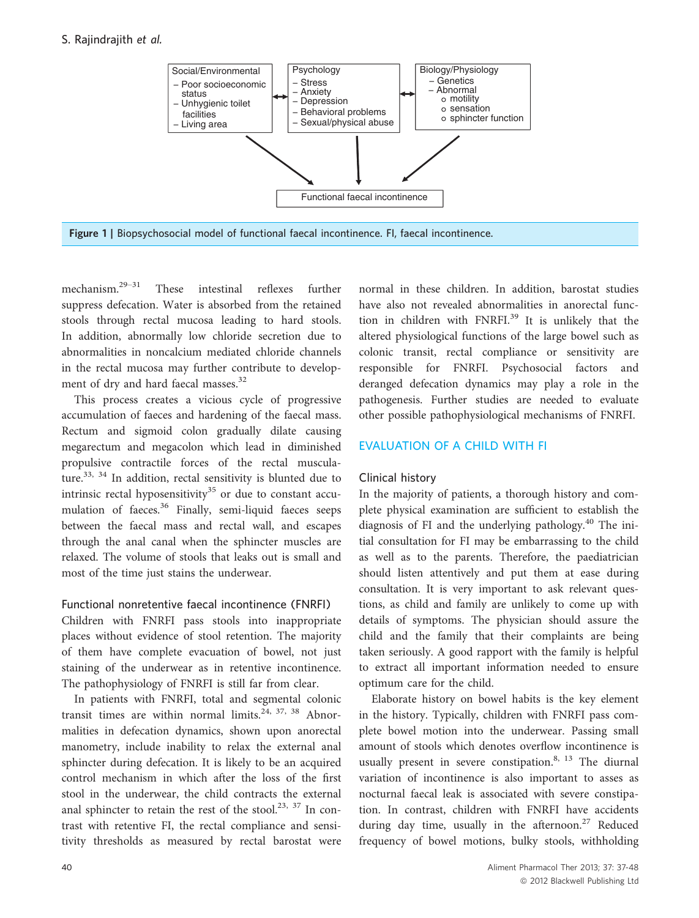# S. Rajindrajith et al.



mechanism.29–<sup>31</sup> These intestinal reflexes further suppress defecation. Water is absorbed from the retained stools through rectal mucosa leading to hard stools. In addition, abnormally low chloride secretion due to abnormalities in noncalcium mediated chloride channels in the rectal mucosa may further contribute to development of dry and hard faecal masses.<sup>32</sup>

This process creates a vicious cycle of progressive accumulation of faeces and hardening of the faecal mass. Rectum and sigmoid colon gradually dilate causing megarectum and megacolon which lead in diminished propulsive contractile forces of the rectal musculature.<sup>33, 34</sup> In addition, rectal sensitivity is blunted due to intrinsic rectal hyposensitivity<sup>35</sup> or due to constant accumulation of faeces.<sup>36</sup> Finally, semi-liquid faeces seeps between the faecal mass and rectal wall, and escapes through the anal canal when the sphincter muscles are relaxed. The volume of stools that leaks out is small and most of the time just stains the underwear.

### Functional nonretentive faecal incontinence (FNRFI)

Children with FNRFI pass stools into inappropriate places without evidence of stool retention. The majority of them have complete evacuation of bowel, not just staining of the underwear as in retentive incontinence. The pathophysiology of FNRFI is still far from clear.

In patients with FNRFI, total and segmental colonic transit times are within normal limits.<sup>24, 37, 38</sup> Abnormalities in defecation dynamics, shown upon anorectal manometry, include inability to relax the external anal sphincter during defecation. It is likely to be an acquired control mechanism in which after the loss of the first stool in the underwear, the child contracts the external anal sphincter to retain the rest of the stool.<sup>23, 37</sup> In contrast with retentive FI, the rectal compliance and sensitivity thresholds as measured by rectal barostat were normal in these children. In addition, barostat studies have also not revealed abnormalities in anorectal function in children with FNRFI.<sup>39</sup> It is unlikely that the altered physiological functions of the large bowel such as colonic transit, rectal compliance or sensitivity are responsible for FNRFI. Psychosocial factors and deranged defecation dynamics may play a role in the pathogenesis. Further studies are needed to evaluate other possible pathophysiological mechanisms of FNRFI.

# EVALUATION OF A CHILD WITH FI

# Clinical history

In the majority of patients, a thorough history and complete physical examination are sufficient to establish the diagnosis of FI and the underlying pathology. $40$  The initial consultation for FI may be embarrassing to the child as well as to the parents. Therefore, the paediatrician should listen attentively and put them at ease during consultation. It is very important to ask relevant questions, as child and family are unlikely to come up with details of symptoms. The physician should assure the child and the family that their complaints are being taken seriously. A good rapport with the family is helpful to extract all important information needed to ensure optimum care for the child.

Elaborate history on bowel habits is the key element in the history. Typically, children with FNRFI pass complete bowel motion into the underwear. Passing small amount of stools which denotes overflow incontinence is usually present in severe constipation. $8, 13$  The diurnal variation of incontinence is also important to asses as nocturnal faecal leak is associated with severe constipation. In contrast, children with FNRFI have accidents during day time, usually in the afternoon.<sup>27</sup> Reduced frequency of bowel motions, bulky stools, withholding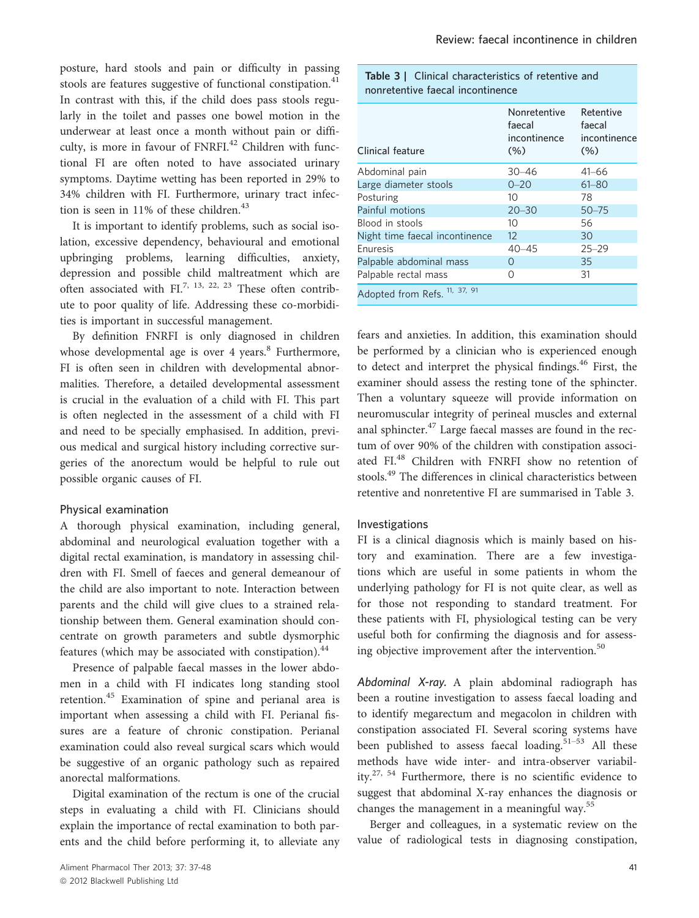posture, hard stools and pain or difficulty in passing stools are features suggestive of functional constipation.<sup>41</sup> In contrast with this, if the child does pass stools regularly in the toilet and passes one bowel motion in the underwear at least once a month without pain or difficulty, is more in favour of FNRFI.<sup>42</sup> Children with functional FI are often noted to have associated urinary symptoms. Daytime wetting has been reported in 29% to 34% children with FI. Furthermore, urinary tract infection is seen in  $11\%$  of these children.<sup>43</sup>

It is important to identify problems, such as social isolation, excessive dependency, behavioural and emotional upbringing problems, learning difficulties, anxiety, depression and possible child maltreatment which are often associated with FI.<sup>7, 13, 22, 23</sup> These often contribute to poor quality of life. Addressing these co-morbidities is important in successful management.

By definition FNRFI is only diagnosed in children whose developmental age is over 4 years. $8$  Furthermore, FI is often seen in children with developmental abnormalities. Therefore, a detailed developmental assessment is crucial in the evaluation of a child with FI. This part is often neglected in the assessment of a child with FI and need to be specially emphasised. In addition, previous medical and surgical history including corrective surgeries of the anorectum would be helpful to rule out possible organic causes of FI.

#### Physical examination

A thorough physical examination, including general, abdominal and neurological evaluation together with a digital rectal examination, is mandatory in assessing children with FI. Smell of faeces and general demeanour of the child are also important to note. Interaction between parents and the child will give clues to a strained relationship between them. General examination should concentrate on growth parameters and subtle dysmorphic features (which may be associated with constipation).<sup>44</sup>

Presence of palpable faecal masses in the lower abdomen in a child with FI indicates long standing stool retention.<sup>45</sup> Examination of spine and perianal area is important when assessing a child with FI. Perianal fissures are a feature of chronic constipation. Perianal examination could also reveal surgical scars which would be suggestive of an organic pathology such as repaired anorectal malformations.

Digital examination of the rectum is one of the crucial steps in evaluating a child with FI. Clinicians should explain the importance of rectal examination to both parents and the child before performing it, to alleviate any

| <b>Table 3</b>   Clinical characteristics of retentive and |  |
|------------------------------------------------------------|--|
| nonretentive faecal incontinence                           |  |

| Clinical feature               | Nonretentive<br>faecal<br>incontinence<br>(% ) | Retentive<br>faecal<br>incontinence<br>(% ) |
|--------------------------------|------------------------------------------------|---------------------------------------------|
| Abdominal pain                 | $30 - 46$                                      | $41 - 66$                                   |
| Large diameter stools          | $0 - 20$                                       | $61 - 80$                                   |
| Posturing                      | 10                                             | 78                                          |
| Painful motions                | $20 - 30$                                      | $50 - 75$                                   |
| Blood in stools                | 10                                             | 56                                          |
| Night time faecal incontinence | $12 \overline{ }$                              | 30                                          |
| <b>Fnuresis</b>                | $40 - 45$                                      | $25 - 29$                                   |
| Palpable abdominal mass        | $\cap$                                         | 35                                          |
| Palpable rectal mass           | ∩                                              | 31                                          |
| Adopted from Refs. 11, 37, 91  |                                                |                                             |

fears and anxieties. In addition, this examination should be performed by a clinician who is experienced enough to detect and interpret the physical findings.<sup>46</sup> First, the examiner should assess the resting tone of the sphincter. Then a voluntary squeeze will provide information on neuromuscular integrity of perineal muscles and external anal sphincter.<sup>47</sup> Large faecal masses are found in the rectum of over 90% of the children with constipation associated FI.<sup>48</sup> Children with FNRFI show no retention of stools.<sup>49</sup> The differences in clinical characteristics between retentive and nonretentive FI are summarised in Table 3.

#### Investigations

FI is a clinical diagnosis which is mainly based on history and examination. There are a few investigations which are useful in some patients in whom the underlying pathology for FI is not quite clear, as well as for those not responding to standard treatment. For these patients with FI, physiological testing can be very useful both for confirming the diagnosis and for assessing objective improvement after the intervention.<sup>50</sup>

Abdominal X-ray. A plain abdominal radiograph has been a routine investigation to assess faecal loading and to identify megarectum and megacolon in children with constipation associated FI. Several scoring systems have been published to assess faecal loading.<sup>51-53</sup> All these methods have wide inter- and intra-observer variability.27, 54 Furthermore, there is no scientific evidence to suggest that abdominal X-ray enhances the diagnosis or changes the management in a meaningful way.<sup>55</sup>

Berger and colleagues, in a systematic review on the value of radiological tests in diagnosing constipation,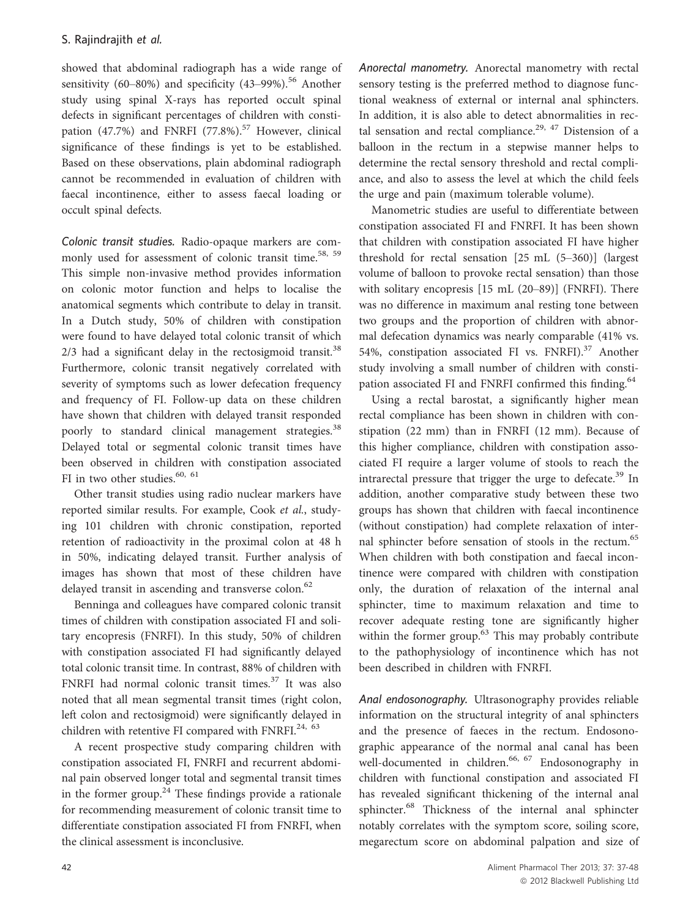showed that abdominal radiograph has a wide range of sensitivity (60–80%) and specificity (43–99%).<sup>56</sup> Another study using spinal X-rays has reported occult spinal defects in significant percentages of children with constipation (47.7%) and FNRFI (77.8%).<sup>57</sup> However, clinical significance of these findings is yet to be established. Based on these observations, plain abdominal radiograph cannot be recommended in evaluation of children with faecal incontinence, either to assess faecal loading or occult spinal defects.

Colonic transit studies. Radio-opaque markers are commonly used for assessment of colonic transit time.<sup>58, 59</sup> This simple non-invasive method provides information on colonic motor function and helps to localise the anatomical segments which contribute to delay in transit. In a Dutch study, 50% of children with constipation were found to have delayed total colonic transit of which  $2/3$  had a significant delay in the rectosigmoid transit.<sup>38</sup> Furthermore, colonic transit negatively correlated with severity of symptoms such as lower defecation frequency and frequency of FI. Follow-up data on these children have shown that children with delayed transit responded poorly to standard clinical management strategies.<sup>38</sup> Delayed total or segmental colonic transit times have been observed in children with constipation associated FI in two other studies.<sup>60, 61</sup>

Other transit studies using radio nuclear markers have reported similar results. For example, Cook et al., studying 101 children with chronic constipation, reported retention of radioactivity in the proximal colon at 48 h in 50%, indicating delayed transit. Further analysis of images has shown that most of these children have delayed transit in ascending and transverse colon.<sup>62</sup>

Benninga and colleagues have compared colonic transit times of children with constipation associated FI and solitary encopresis (FNRFI). In this study, 50% of children with constipation associated FI had significantly delayed total colonic transit time. In contrast, 88% of children with FNRFI had normal colonic transit times.<sup>37</sup> It was also noted that all mean segmental transit times (right colon, left colon and rectosigmoid) were significantly delayed in children with retentive FI compared with FNRFI.<sup>24, 63</sup>

A recent prospective study comparing children with constipation associated FI, FNRFI and recurrent abdominal pain observed longer total and segmental transit times in the former group.<sup>24</sup> These findings provide a rationale for recommending measurement of colonic transit time to differentiate constipation associated FI from FNRFI, when the clinical assessment is inconclusive.

Anorectal manometry. Anorectal manometry with rectal sensory testing is the preferred method to diagnose functional weakness of external or internal anal sphincters. In addition, it is also able to detect abnormalities in rectal sensation and rectal compliance.<sup>29, 47</sup> Distension of a balloon in the rectum in a stepwise manner helps to determine the rectal sensory threshold and rectal compliance, and also to assess the level at which the child feels the urge and pain (maximum tolerable volume).

Manometric studies are useful to differentiate between constipation associated FI and FNRFI. It has been shown that children with constipation associated FI have higher threshold for rectal sensation [25 mL (5–360)] (largest volume of balloon to provoke rectal sensation) than those with solitary encopresis [15 mL (20–89)] (FNRFI). There was no difference in maximum anal resting tone between two groups and the proportion of children with abnormal defecation dynamics was nearly comparable (41% vs. 54%, constipation associated FI vs. FNRFI).<sup>37</sup> Another study involving a small number of children with constipation associated FI and FNRFI confirmed this finding.<sup>64</sup>

Using a rectal barostat, a significantly higher mean rectal compliance has been shown in children with constipation (22 mm) than in FNRFI (12 mm). Because of this higher compliance, children with constipation associated FI require a larger volume of stools to reach the intrarectal pressure that trigger the urge to defecate. $39$  In addition, another comparative study between these two groups has shown that children with faecal incontinence (without constipation) had complete relaxation of internal sphincter before sensation of stools in the rectum.<sup>65</sup> When children with both constipation and faecal incontinence were compared with children with constipation only, the duration of relaxation of the internal anal sphincter, time to maximum relaxation and time to recover adequate resting tone are significantly higher within the former group.<sup>63</sup> This may probably contribute to the pathophysiology of incontinence which has not been described in children with FNRFI.

Anal endosonography. Ultrasonography provides reliable information on the structural integrity of anal sphincters and the presence of faeces in the rectum. Endosonographic appearance of the normal anal canal has been well-documented in children.<sup>66, 67</sup> Endosonography in children with functional constipation and associated FI has revealed significant thickening of the internal anal sphincter.<sup>68</sup> Thickness of the internal anal sphincter notably correlates with the symptom score, soiling score, megarectum score on abdominal palpation and size of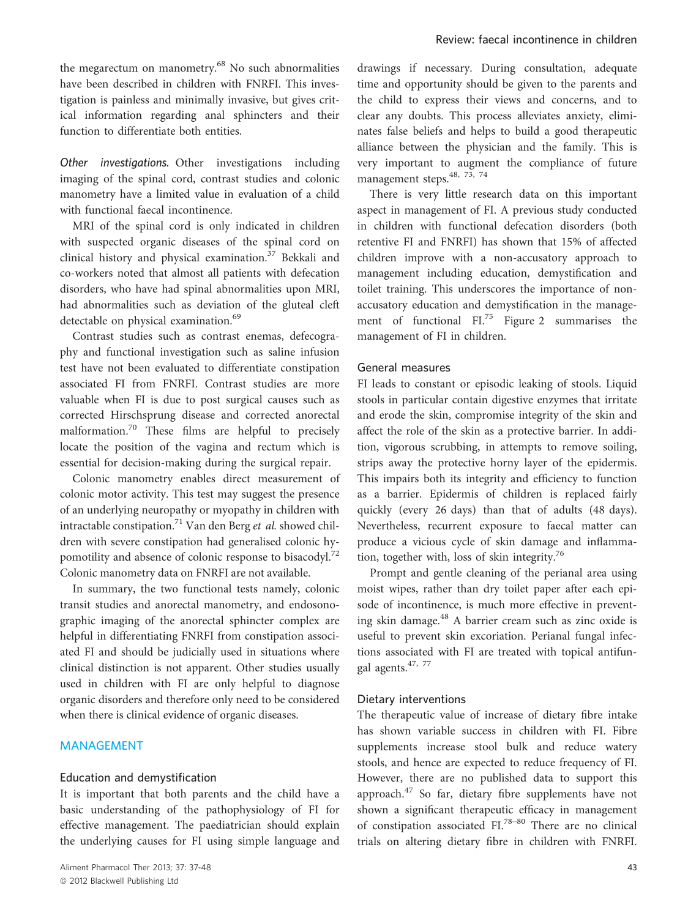the megarectum on manometry.<sup>68</sup> No such abnormalities have been described in children with FNRFI. This investigation is painless and minimally invasive, but gives critical information regarding anal sphincters and their function to differentiate both entities.

Other investigations. Other investigations including imaging of the spinal cord, contrast studies and colonic manometry have a limited value in evaluation of a child with functional faecal incontinence.

MRI of the spinal cord is only indicated in children with suspected organic diseases of the spinal cord on clinical history and physical examination.<sup>37</sup> Bekkali and co-workers noted that almost all patients with defecation disorders, who have had spinal abnormalities upon MRI, had abnormalities such as deviation of the gluteal cleft detectable on physical examination.<sup>69</sup>

Contrast studies such as contrast enemas, defecography and functional investigation such as saline infusion test have not been evaluated to differentiate constipation associated FI from FNRFI. Contrast studies are more valuable when FI is due to post surgical causes such as corrected Hirschsprung disease and corrected anorectal malformation.<sup>70</sup> These films are helpful to precisely locate the position of the vagina and rectum which is essential for decision-making during the surgical repair.

Colonic manometry enables direct measurement of colonic motor activity. This test may suggest the presence of an underlying neuropathy or myopathy in children with intractable constipation.<sup>71</sup> Van den Berg et al. showed children with severe constipation had generalised colonic hypomotility and absence of colonic response to bisacodyl.<sup>72</sup> Colonic manometry data on FNRFI are not available.

In summary, the two functional tests namely, colonic transit studies and anorectal manometry, and endosonographic imaging of the anorectal sphincter complex are helpful in differentiating FNRFI from constipation associated FI and should be judicially used in situations where clinical distinction is not apparent. Other studies usually used in children with FI are only helpful to diagnose organic disorders and therefore only need to be considered when there is clinical evidence of organic diseases.

## MANAGEMENT

### Education and demystification

It is important that both parents and the child have a basic understanding of the pathophysiology of FI for effective management. The paediatrician should explain the underlying causes for FI using simple language and drawings if necessary. During consultation, adequate time and opportunity should be given to the parents and the child to express their views and concerns, and to clear any doubts. This process alleviates anxiety, eliminates false beliefs and helps to build a good therapeutic alliance between the physician and the family. This is very important to augment the compliance of future management steps.<sup>48, 73, 74</sup>

There is very little research data on this important aspect in management of FI. A previous study conducted in children with functional defecation disorders (both retentive FI and FNRFI) has shown that 15% of affected children improve with a non-accusatory approach to management including education, demystification and toilet training. This underscores the importance of nonaccusatory education and demystification in the management of functional  $\text{FI.}^{75}$  Figure 2 summarises the management of FI in children.

#### General measures

FI leads to constant or episodic leaking of stools. Liquid stools in particular contain digestive enzymes that irritate and erode the skin, compromise integrity of the skin and affect the role of the skin as a protective barrier. In addition, vigorous scrubbing, in attempts to remove soiling, strips away the protective horny layer of the epidermis. This impairs both its integrity and efficiency to function as a barrier. Epidermis of children is replaced fairly quickly (every 26 days) than that of adults (48 days). Nevertheless, recurrent exposure to faecal matter can produce a vicious cycle of skin damage and inflammation, together with, loss of skin integrity.76

Prompt and gentle cleaning of the perianal area using moist wipes, rather than dry toilet paper after each episode of incontinence, is much more effective in preventing skin damage.<sup>48</sup> A barrier cream such as zinc oxide is useful to prevent skin excoriation. Perianal fungal infections associated with FI are treated with topical antifungal agents.<sup>47, 77</sup>

### Dietary interventions

The therapeutic value of increase of dietary fibre intake has shown variable success in children with FI. Fibre supplements increase stool bulk and reduce watery stools, and hence are expected to reduce frequency of FI. However, there are no published data to support this approach.<sup>47</sup> So far, dietary fibre supplements have not shown a significant therapeutic efficacy in management of constipation associated FI.78–<sup>80</sup> There are no clinical trials on altering dietary fibre in children with FNRFI.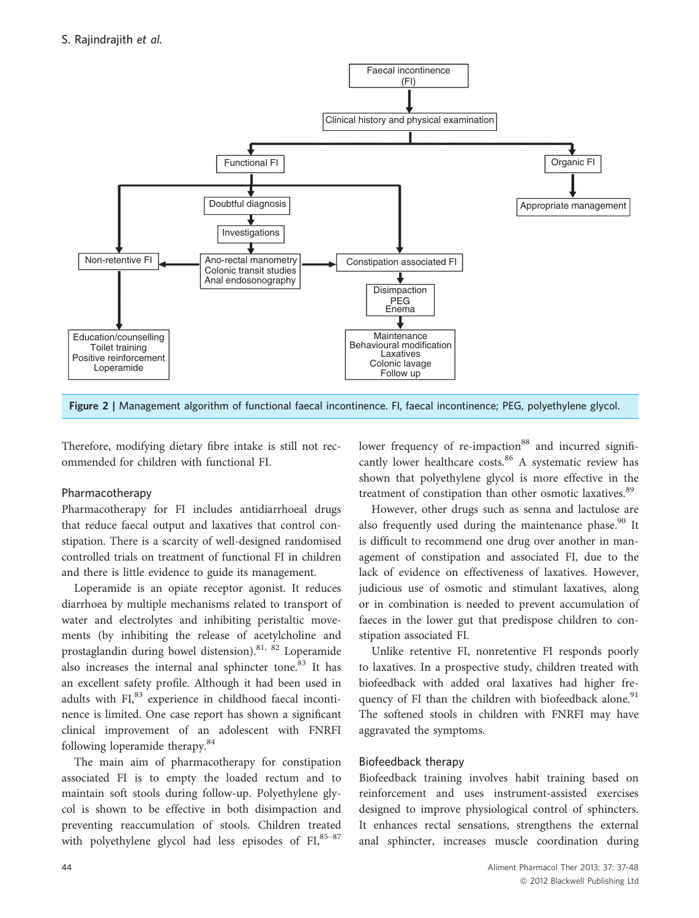

Figure 2 | Management algorithm of functional faecal incontinence. FI, faecal incontinence; PEG, polyethylene glycol.

Therefore, modifying dietary fibre intake is still not recommended for children with functional FI.

### Pharmacotherapy

Pharmacotherapy for FI includes antidiarrhoeal drugs that reduce faecal output and laxatives that control constipation. There is a scarcity of well-designed randomised controlled trials on treatment of functional FI in children and there is little evidence to guide its management.

Loperamide is an opiate receptor agonist. It reduces diarrhoea by multiple mechanisms related to transport of water and electrolytes and inhibiting peristaltic movements (by inhibiting the release of acetylcholine and prostaglandin during bowel distension).81, 82 Loperamide also increases the internal anal sphincter tone.<sup>83</sup> It has an excellent safety profile. Although it had been used in adults with FI,<sup>83</sup> experience in childhood faecal incontinence is limited. One case report has shown a significant clinical improvement of an adolescent with FNRFI following loperamide therapy.<sup>84</sup>

The main aim of pharmacotherapy for constipation associated FI is to empty the loaded rectum and to maintain soft stools during follow-up. Polyethylene glycol is shown to be effective in both disimpaction and preventing reaccumulation of stools. Children treated with polyethylene glycol had less episodes of FI, 85-87 lower frequency of re-impaction<sup>88</sup> and incurred significantly lower healthcare costs.<sup>86</sup> A systematic review has shown that polyethylene glycol is more effective in the treatment of constipation than other osmotic laxatives.<sup>89</sup>

However, other drugs such as senna and lactulose are also frequently used during the maintenance phase. $90$  It is difficult to recommend one drug over another in management of constipation and associated FI, due to the lack of evidence on effectiveness of laxatives. However, judicious use of osmotic and stimulant laxatives, along or in combination is needed to prevent accumulation of faeces in the lower gut that predispose children to constipation associated FI.

Unlike retentive FI, nonretentive FI responds poorly to laxatives. In a prospective study, children treated with biofeedback with added oral laxatives had higher frequency of FI than the children with biofeedback alone.<sup>91</sup> The softened stools in children with FNRFI may have aggravated the symptoms.

### Biofeedback therapy

Biofeedback training involves habit training based on reinforcement and uses instrument-assisted exercises designed to improve physiological control of sphincters. It enhances rectal sensations, strengthens the external anal sphincter, increases muscle coordination during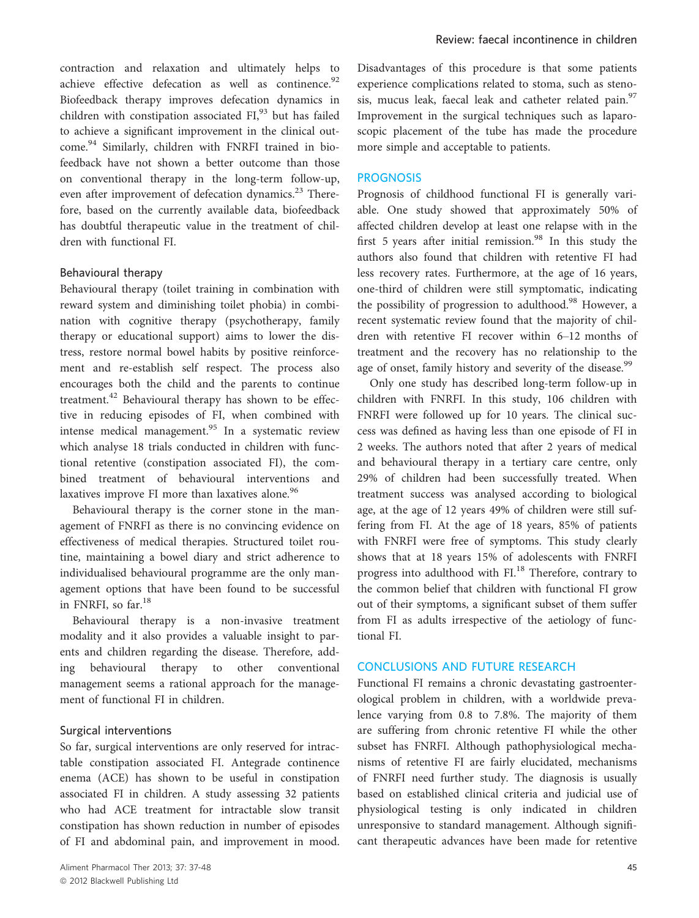contraction and relaxation and ultimately helps to achieve effective defecation as well as continence.<sup>92</sup> Biofeedback therapy improves defecation dynamics in children with constipation associated FI,<sup>93</sup> but has failed to achieve a significant improvement in the clinical outcome.<sup>94</sup> Similarly, children with FNRFI trained in biofeedback have not shown a better outcome than those on conventional therapy in the long-term follow-up, even after improvement of defecation dynamics.<sup>23</sup> Therefore, based on the currently available data, biofeedback has doubtful therapeutic value in the treatment of children with functional FI.

### Behavioural therapy

Behavioural therapy (toilet training in combination with reward system and diminishing toilet phobia) in combination with cognitive therapy (psychotherapy, family therapy or educational support) aims to lower the distress, restore normal bowel habits by positive reinforcement and re-establish self respect. The process also encourages both the child and the parents to continue treatment.<sup>42</sup> Behavioural therapy has shown to be effective in reducing episodes of FI, when combined with intense medical management. $95$  In a systematic review which analyse 18 trials conducted in children with functional retentive (constipation associated FI), the combined treatment of behavioural interventions and laxatives improve FI more than laxatives alone.<sup>96</sup>

Behavioural therapy is the corner stone in the management of FNRFI as there is no convincing evidence on effectiveness of medical therapies. Structured toilet routine, maintaining a bowel diary and strict adherence to individualised behavioural programme are the only management options that have been found to be successful in FNRFI, so far.<sup>18</sup>

Behavioural therapy is a non-invasive treatment modality and it also provides a valuable insight to parents and children regarding the disease. Therefore, adding behavioural therapy to other conventional management seems a rational approach for the management of functional FI in children.

#### Surgical interventions

So far, surgical interventions are only reserved for intractable constipation associated FI. Antegrade continence enema (ACE) has shown to be useful in constipation associated FI in children. A study assessing 32 patients who had ACE treatment for intractable slow transit constipation has shown reduction in number of episodes of FI and abdominal pain, and improvement in mood. Disadvantages of this procedure is that some patients experience complications related to stoma, such as stenosis, mucus leak, faecal leak and catheter related pain.<sup>97</sup> Improvement in the surgical techniques such as laparoscopic placement of the tube has made the procedure more simple and acceptable to patients.

#### **PROGNOSIS**

Prognosis of childhood functional FI is generally variable. One study showed that approximately 50% of affected children develop at least one relapse with in the first 5 years after initial remission. $98$  In this study the authors also found that children with retentive FI had less recovery rates. Furthermore, at the age of 16 years, one-third of children were still symptomatic, indicating the possibility of progression to adulthood.<sup>98</sup> However, a recent systematic review found that the majority of children with retentive FI recover within 6–12 months of treatment and the recovery has no relationship to the age of onset, family history and severity of the disease.<sup>99</sup>

Only one study has described long-term follow-up in children with FNRFI. In this study, 106 children with FNRFI were followed up for 10 years. The clinical success was defined as having less than one episode of FI in 2 weeks. The authors noted that after 2 years of medical and behavioural therapy in a tertiary care centre, only 29% of children had been successfully treated. When treatment success was analysed according to biological age, at the age of 12 years 49% of children were still suffering from FI. At the age of 18 years, 85% of patients with FNRFI were free of symptoms. This study clearly shows that at 18 years 15% of adolescents with FNRFI progress into adulthood with FI.<sup>18</sup> Therefore, contrary to the common belief that children with functional FI grow out of their symptoms, a significant subset of them suffer from FI as adults irrespective of the aetiology of functional FI.

### CONCLUSIONS AND FUTURE RESEARCH

Functional FI remains a chronic devastating gastroenterological problem in children, with a worldwide prevalence varying from 0.8 to 7.8%. The majority of them are suffering from chronic retentive FI while the other subset has FNRFI. Although pathophysiological mechanisms of retentive FI are fairly elucidated, mechanisms of FNRFI need further study. The diagnosis is usually based on established clinical criteria and judicial use of physiological testing is only indicated in children unresponsive to standard management. Although significant therapeutic advances have been made for retentive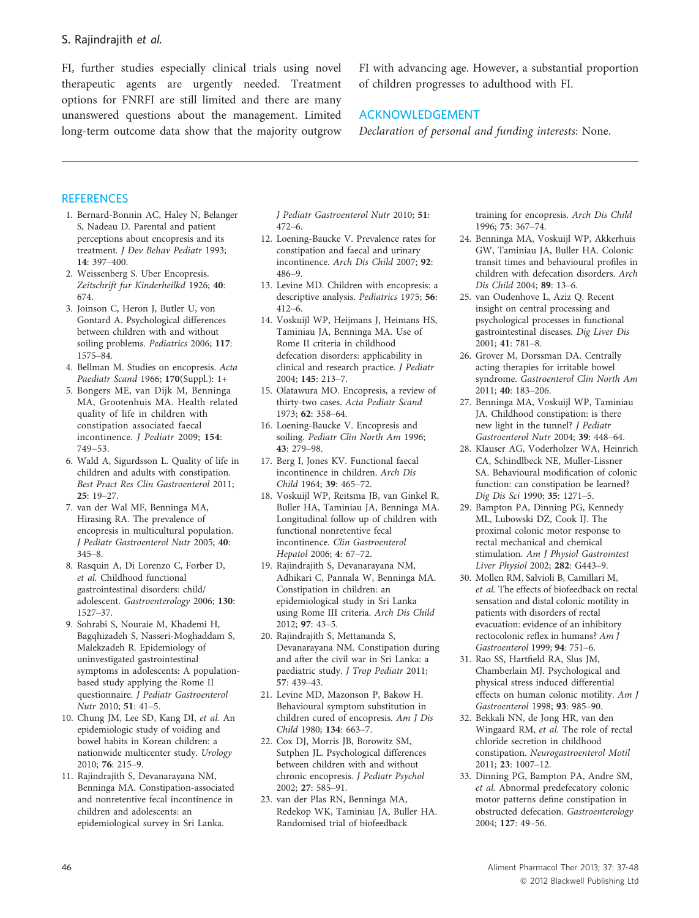FI, further studies especially clinical trials using novel therapeutic agents are urgently needed. Treatment options for FNRFI are still limited and there are many unanswered questions about the management. Limited long-term outcome data show that the majority outgrow

FI with advancing age. However, a substantial proportion of children progresses to adulthood with FI.

# ACKNOWLEDGEMENT

Declaration of personal and funding interests: None.

### **REFERENCES**

- 1. Bernard-Bonnin AC, Haley N, Belanger S, Nadeau D. Parental and patient perceptions about encopresis and its treatment. J Dev Behav Pediatr 1993; 14: 397–400.
- 2. Weissenberg S. Uber Encopresis. Zeitschrift fur Kinderheilkd 1926; 40: 674.
- 3. Joinson C, Heron J, Butler U, von Gontard A. Psychological differences between children with and without soiling problems. Pediatrics 2006; 117: 1575–84.
- 4. Bellman M. Studies on encopresis. Acta Paediatr Scand 1966; 170(Suppl.): 1+
- 5. Bongers ME, van Dijk M, Benninga MA, Grootenhuis MA. Health related quality of life in children with constipation associated faecal incontinence. J Pediatr 2009; 154: 749–53.
- 6. Wald A, Sigurdsson L. Quality of life in children and adults with constipation. Best Pract Res Clin Gastroenterol 2011; 25: 19–27.
- 7. van der Wal MF, Benninga MA, Hirasing RA. The prevalence of encopresis in multicultural population. J Pediatr Gastroenterol Nutr 2005; 40: 345–8.
- 8. Rasquin A, Di Lorenzo C, Forber D, et al. Childhood functional gastrointestinal disorders: child/ adolescent. Gastroenterology 2006; 130: 1527–37.
- 9. Sohrabi S, Nouraie M, Khademi H, Bagqhizadeh S, Nasseri-Moghaddam S, Malekzadeh R. Epidemiology of uninvestigated gastrointestinal symptoms in adolescents: A populationbased study applying the Rome II questionnaire. J Pediatr Gastroenterol Nutr 2010; 51: 41–5.
- 10. Chung JM, Lee SD, Kang DI, et al. An epidemiologic study of voiding and bowel habits in Korean children: a nationwide multicenter study. Urology 2010; 76: 215–9.
- 11. Rajindrajith S, Devanarayana NM, Benninga MA. Constipation-associated and nonretentive fecal incontinence in children and adolescents: an epidemiological survey in Sri Lanka.

J Pediatr Gastroenterol Nutr 2010; 51: 472–6.

- 12. Loening-Baucke V. Prevalence rates for constipation and faecal and urinary incontinence. Arch Dis Child 2007; 92: 486–9.
- 13. Levine MD. Children with encopresis: a descriptive analysis. Pediatrics 1975; 56: 412–6.
- 14. Voskuijl WP, Heijmans J, Heimans HS, Taminiau JA, Benninga MA. Use of Rome II criteria in childhood defecation disorders: applicability in clinical and research practice. J Pediatr 2004; 145: 213–7.
- 15. Olatawura MO. Encopresis, a review of thirty-two cases. Acta Pediatr Scand 1973; 62: 358–64.
- 16. Loening-Baucke V. Encopresis and soiling. Pediatr Clin North Am 1996; 43: 279–98.
- 17. Berg I, Jones KV. Functional faecal incontinence in children. Arch Dis Child 1964; 39: 465–72.
- 18. Voskuijl WP, Reitsma JB, van Ginkel R, Buller HA, Taminiau JA, Benninga MA. Longitudinal follow up of children with functional nonretentive fecal incontinence. Clin Gastroenterol Hepatol 2006; 4: 67–72.
- 19. Rajindrajith S, Devanarayana NM, Adhikari C, Pannala W, Benninga MA. Constipation in children: an epidemiological study in Sri Lanka using Rome III criteria. Arch Dis Child 2012; 97: 43–5.
- 20. Rajindrajith S, Mettananda S, Devanarayana NM. Constipation during and after the civil war in Sri Lanka: a paediatric study. J Trop Pediatr 2011; 57: 439–43.
- 21. Levine MD, Mazonson P, Bakow H. Behavioural symptom substitution in children cured of encopresis. Am J Dis Child 1980; 134: 663–7.
- 22. Cox DJ, Morris JB, Borowitz SM, Sutphen JL. Psychological differences between children with and without chronic encopresis. J Pediatr Psychol 2002; 27: 585–91.
- 23. van der Plas RN, Benninga MA, Redekop WK, Taminiau JA, Buller HA. Randomised trial of biofeedback

training for encopresis. Arch Dis Child 1996; 75: 367–74.

- 24. Benninga MA, Voskuijl WP, Akkerhuis GW, Taminiau JA, Buller HA. Colonic transit times and behavioural profiles in children with defecation disorders. Arch Dis Child 2004; 89: 13–6.
- 25. van Oudenhove L, Aziz Q. Recent insight on central processing and psychological processes in functional gastrointestinal diseases. Dig Liver Dis 2001; 41: 781–8.
- 26. Grover M, Dorssman DA. Centrally acting therapies for irritable bowel syndrome. Gastroenterol Clin North Am 2011; 40: 183–206.
- 27. Benninga MA, Voskuijl WP, Taminiau JA. Childhood constipation: is there new light in the tunnel? J Pediatr Gastroenterol Nutr 2004; 39: 448–64.
- 28. Klauser AG, Voderholzer WA, Heinrich CA, Schindlbeck NE, Muller-Lissner SA. Behavioural modification of colonic function: can constipation be learned? Dig Dis Sci 1990; 35: 1271–5.
- 29. Bampton PA, Dinning PG, Kennedy ML, Lubowski DZ, Cook IJ. The proximal colonic motor response to rectal mechanical and chemical stimulation. Am J Physiol Gastrointest Liver Physiol 2002; 282: G443–9.
- 30. Mollen RM, Salvioli B, Camillari M, et al. The effects of biofeedback on rectal sensation and distal colonic motility in patients with disorders of rectal evacuation: evidence of an inhibitory rectocolonic reflex in humans? Am J Gastroenterol 1999; 94: 751–6.
- 31. Rao SS, Hartfield RA, Slus JM, Chamberlain MJ. Psychological and physical stress induced differential effects on human colonic motility. Am J Gastroenterol 1998; 93: 985–90.
- 32. Bekkali NN, de Jong HR, van den Wingaard RM, et al. The role of rectal chloride secretion in childhood constipation. Neurogastroenterol Motil 2011; 23: 1007–12.
- 33. Dinning PG, Bampton PA, Andre SM, et al. Abnormal predefecatory colonic motor patterns define constipation in obstructed defecation. Gastroenterology 2004; 127: 49–56.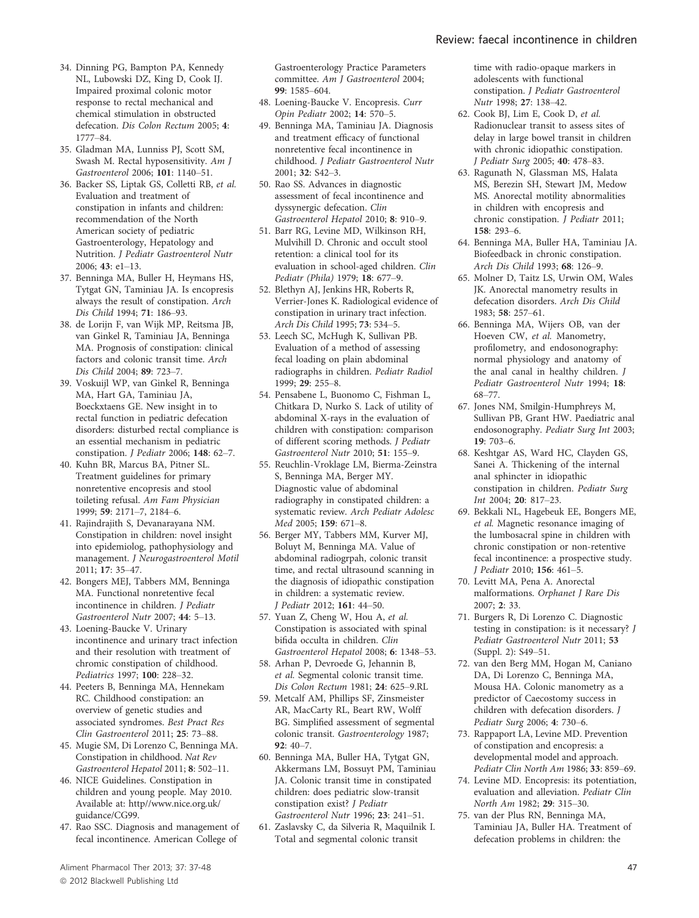- 34. Dinning PG, Bampton PA, Kennedy NL, Lubowski DZ, King D, Cook IJ. Impaired proximal colonic motor response to rectal mechanical and chemical stimulation in obstructed defecation. Dis Colon Rectum 2005; 4: 1777–84.
- 35. Gladman MA, Lunniss PJ, Scott SM, Swash M. Rectal hyposensitivity. Am J Gastroenterol 2006; 101: 1140–51.
- 36. Backer SS, Liptak GS, Colletti RB, et al. Evaluation and treatment of constipation in infants and children: recommendation of the North American society of pediatric Gastroenterology, Hepatology and Nutrition. J Pediatr Gastroenterol Nutr 2006; 43: e1–13.
- 37. Benninga MA, Buller H, Heymans HS, Tytgat GN, Taminiau JA. Is encopresis always the result of constipation. Arch Dis Child 1994; 71: 186–93.
- 38. de Lorijn F, van Wijk MP, Reitsma JB, van Ginkel R, Taminiau JA, Benninga MA. Prognosis of constipation: clinical factors and colonic transit time. Arch Dis Child 2004; 89: 723–7.
- 39. Voskuijl WP, van Ginkel R, Benninga MA, Hart GA, Taminiau JA, Boeckxtaens GE. New insight in to rectal function in pediatric defecation disorders: disturbed rectal compliance is an essential mechanism in pediatric constipation. *J Pediatr* 2006; 148: 62-7.
- 40. Kuhn BR, Marcus BA, Pitner SL. Treatment guidelines for primary nonretentive encopresis and stool toileting refusal. Am Fam Physician 1999; 59: 2171–7, 2184–6.
- 41. Rajindrajith S, Devanarayana NM. Constipation in children: novel insight into epidemiolog, pathophysiology and management. J Neurogastroenterol Motil 2011; 17: 35–47.
- 42. Bongers MEJ, Tabbers MM, Benninga MA. Functional nonretentive fecal incontinence in children. J Pediatr Gastroenterol Nutr 2007; 44: 5–13.
- 43. Loening-Baucke V. Urinary incontinence and urinary tract infection and their resolution with treatment of chromic constipation of childhood. Pediatrics 1997; 100: 228–32.
- 44. Peeters B, Benninga MA, Hennekam RC. Childhood constipation: an overview of genetic studies and associated syndromes. Best Pract Res Clin Gastroenterol 2011; 25: 73–88.
- 45. Mugie SM, Di Lorenzo C, Benninga MA. Constipation in childhood. Nat Rev Gastroenterol Hepatol 2011; 8: 502–11.
- 46. NICE Guidelines. Constipation in children and young people. May 2010. Available at: http//www.nice.org.uk/ guidance/CG99.
- 47. Rao SSC. Diagnosis and management of fecal incontinence. American College of

Gastroenterology Practice Parameters committee. Am J Gastroenterol 2004; 99: 1585–604.

- 48. Loening-Baucke V. Encopresis. Curr Opin Pediatr 2002; 14: 570–5.
- 49. Benninga MA, Taminiau JA. Diagnosis and treatment efficacy of functional nonretentive fecal incontinence in childhood. J Pediatr Gastroenterol Nutr 2001; 32: S42–3.
- 50. Rao SS. Advances in diagnostic assessment of fecal incontinence and dyssynergic defecation. Clin Gastroenterol Hepatol 2010; 8: 910–9.
- 51. Barr RG, Levine MD, Wilkinson RH, Mulvihill D. Chronic and occult stool retention: a clinical tool for its evaluation in school-aged children. Clin Pediatr (Phila) 1979; 18: 677–9.
- 52. Blethyn AJ, Jenkins HR, Roberts R, Verrier-Jones K. Radiological evidence of constipation in urinary tract infection. Arch Dis Child 1995; 73: 534–5.
- 53. Leech SC, McHugh K, Sullivan PB. Evaluation of a method of assessing fecal loading on plain abdominal radiographs in children. Pediatr Radiol 1999; 29: 255–8.
- 54. Pensabene L, Buonomo C, Fishman L, Chitkara D, Nurko S. Lack of utility of abdominal X-rays in the evaluation of children with constipation: comparison of different scoring methods. J Pediatr Gastroenterol Nutr 2010; 51: 155–9.
- 55. Reuchlin-Vroklage LM, Bierma-Zeinstra S, Benninga MA, Berger MY. Diagnostic value of abdominal radiography in constipated children: a systematic review. Arch Pediatr Adolesc Med 2005; 159: 671–8.
- 56. Berger MY, Tabbers MM, Kurver MJ, Boluyt M, Benninga MA. Value of abdominal radiogrpah, colonic transit time, and rectal ultrasound scanning in the diagnosis of idiopathic constipation in children: a systematic review. J Pediatr 2012; 161: 44–50.
- 57. Yuan Z, Cheng W, Hou A, et al. Constipation is associated with spinal bifida occulta in children. Clin Gastroenterol Hepatol 2008; 6: 1348–53.
- 58. Arhan P, Devroede G, Jehannin B, et al. Segmental colonic transit time. Dis Colon Rectum 1981; 24: 625–9.RL
- 59. Metcalf AM, Phillips SF, Zinsmeister AR, MacCarty RL, Beart RW, Wolff BG. Simplified assessment of segmental colonic transit. Gastroenterology 1987; 92: 40–7.
- 60. Benninga MA, Buller HA, Tytgat GN, Akkermans LM, Bossuyt PM, Taminiau JA. Colonic transit time in constipated children: does pediatric slow-transit constipation exist? J Pediatr Gastroenterol Nutr 1996; 23: 241–51.
- 61. Zaslavsky C, da Silveria R, Maquilnik I. Total and segmental colonic transit

time with radio-opaque markers in adolescents with functional constipation. J Pediatr Gastroenterol Nutr 1998; 27: 138–42.

- 62. Cook BJ, Lim E, Cook D, et al. Radionuclear transit to assess sites of delay in large bowel transit in children with chronic idiopathic constipation. J Pediatr Surg 2005; 40: 478–83.
- 63. Ragunath N, Glassman MS, Halata MS, Berezin SH, Stewart JM, Medow MS. Anorectal motility abnormalities in children with encopresis and chronic constipation. J Pediatr 2011; 158: 293–6.
- 64. Benninga MA, Buller HA, Taminiau JA. Biofeedback in chronic constipation. Arch Dis Child 1993; 68: 126–9.
- 65. Molner D, Taitz LS, Urwin OM, Wales JK. Anorectal manometry results in defecation disorders. Arch Dis Child 1983; 58: 257–61.
- 66. Benninga MA, Wijers OB, van der Hoeven CW, et al. Manometry, profilometry, and endosonography: normal physiology and anatomy of the anal canal in healthy children. J Pediatr Gastroenterol Nutr 1994; 18: 68–77.
- 67. Jones NM, Smilgin-Humphreys M, Sullivan PB, Grant HW. Paediatric anal endosonography. Pediatr Surg Int 2003; 19: 703–6.
- 68. Keshtgar AS, Ward HC, Clayden GS, Sanei A. Thickening of the internal anal sphincter in idiopathic constipation in children. Pediatr Surg Int 2004; 20: 817–23.
- 69. Bekkali NL, Hagebeuk EE, Bongers ME, et al. Magnetic resonance imaging of the lumbosacral spine in children with chronic constipation or non-retentive fecal incontinence: a prospective study. J Pediatr 2010; 156: 461–5.
- 70. Levitt MA, Pena A. Anorectal malformations. Orphanet J Rare Dis 2007; 2: 33.
- 71. Burgers R, Di Lorenzo C. Diagnostic testing in constipation: is it necessary? J Pediatr Gastroenterol Nutr 2011; 53 (Suppl. 2): S49–51.
- 72. van den Berg MM, Hogan M, Caniano DA, Di Lorenzo C, Benninga MA, Mousa HA. Colonic manometry as a predictor of Caecostomy success in children with defecation disorders. J Pediatr Surg 2006; 4: 730–6.
- 73. Rappaport LA, Levine MD. Prevention of constipation and encopresis: a developmental model and approach. Pediatr Clin North Am 1986; 33: 859–69.
- 74. Levine MD. Encopresis: its potentiation, evaluation and alleviation. Pediatr Clin North Am 1982; 29: 315–30.
- 75. van der Plus RN, Benninga MA, Taminiau JA, Buller HA. Treatment of defecation problems in children: the